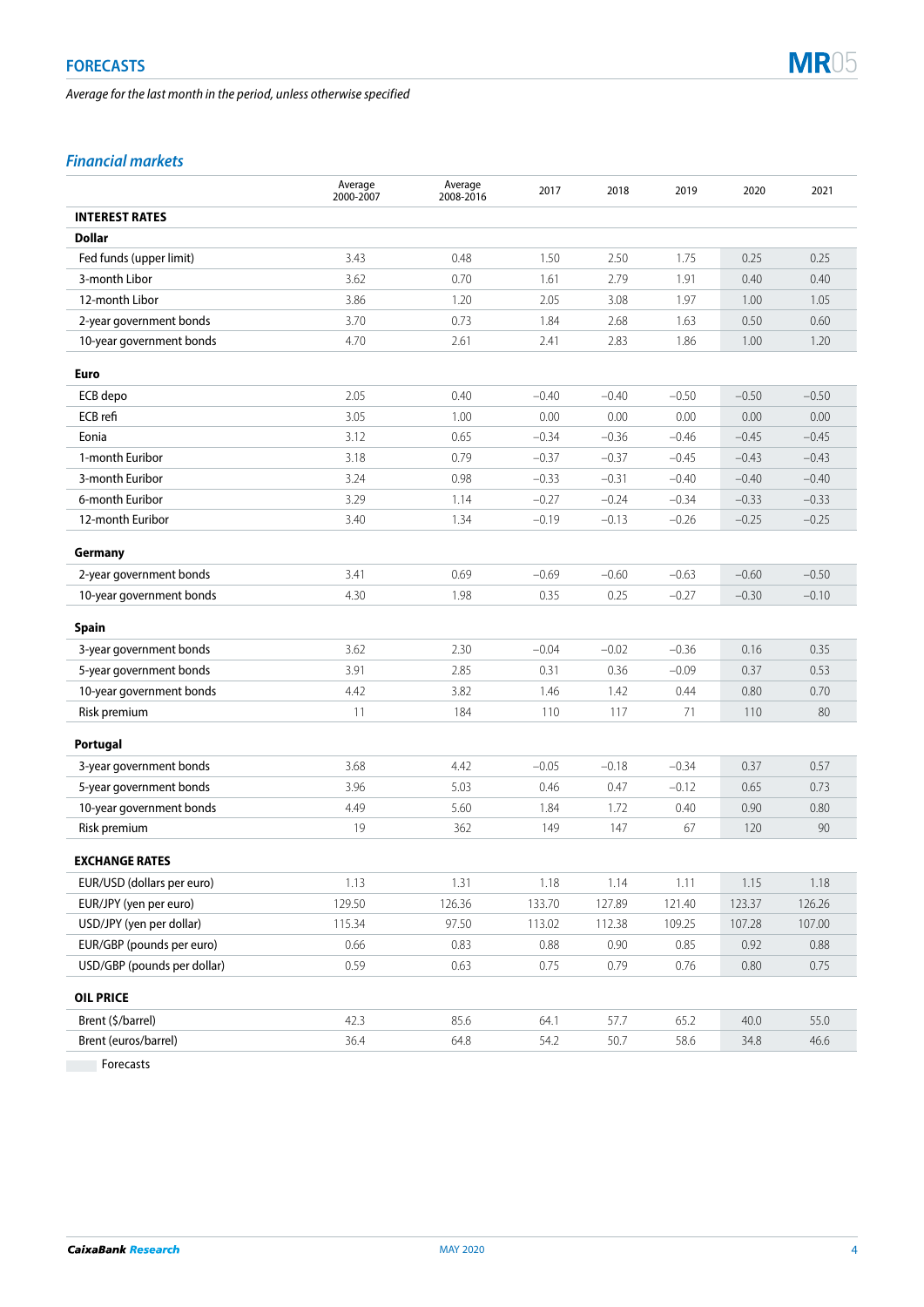*Average for the last month in the period, unless otherwise specified*



# *Financial markets*

|                             | Average<br>2000-2007 | Average<br>2008-2016 | 2017    | 2018    | 2019    | 2020     | 2021    |
|-----------------------------|----------------------|----------------------|---------|---------|---------|----------|---------|
| <b>INTEREST RATES</b>       |                      |                      |         |         |         |          |         |
| Dollar                      |                      |                      |         |         |         |          |         |
| Fed funds (upper limit)     | 3.43                 | 0.48                 | 1.50    | 2.50    | 1.75    | 0.25     | 0.25    |
| 3-month Libor               | 3.62                 | 0.70                 | 1.61    | 2.79    | 1.91    | 0.40     | 0.40    |
| 12-month Libor              | 3.86                 | 1.20                 | 2.05    | 3.08    | 1.97    | 1.00     | 1.05    |
| 2-year government bonds     | 3.70                 | 0.73                 | 1.84    | 2.68    | 1.63    | 0.50     | 0.60    |
| 10-year government bonds    | 4.70                 | 2.61                 | 2.41    | 2.83    | 1.86    | 1.00     | 1.20    |
| <b>Euro</b>                 |                      |                      |         |         |         |          |         |
| ECB depo                    | 2.05                 | 0.40                 | $-0.40$ | $-0.40$ | $-0.50$ | $-0.50$  | $-0.50$ |
| ECB refi                    | 3.05                 | 1.00                 | 0.00    | 0.00    | 0.00    | 0.00     | 0.00    |
| Eonia                       | 3.12                 | 0.65                 | $-0.34$ | $-0.36$ | $-0.46$ | $-0.45$  | $-0.45$ |
| 1-month Euribor             | 3.18                 | 0.79                 | $-0.37$ | $-0.37$ | $-0.45$ | $-0.43$  | $-0.43$ |
| 3-month Euribor             | 3.24                 | 0.98                 | $-0.33$ | $-0.31$ | $-0.40$ | $-0.40$  | $-0.40$ |
| 6-month Euribor             | 3.29                 | 1.14                 | $-0.27$ | $-0.24$ | $-0.34$ | $-0.33$  | $-0.33$ |
| 12-month Euribor            | 3.40                 | 1.34                 | $-0.19$ | $-0.13$ | $-0.26$ | $-0.25$  | $-0.25$ |
| Germany                     |                      |                      |         |         |         |          |         |
| 2-year government bonds     | 3.41                 | 0.69                 | $-0.69$ | $-0.60$ | $-0.63$ | $-0.60$  | $-0.50$ |
| 10-year government bonds    | 4.30                 | 1.98                 | 0.35    | 0.25    | $-0.27$ | $-0.30$  | $-0.10$ |
| <b>Spain</b>                |                      |                      |         |         |         |          |         |
| 3-year government bonds     | 3.62                 | 2.30                 | $-0.04$ | $-0.02$ | $-0.36$ | 0.16     | 0.35    |
| 5-year government bonds     | 3.91                 | 2.85                 | 0.31    | 0.36    | $-0.09$ | 0.37     | 0.53    |
| 10-year government bonds    | 4.42                 | 3.82                 | 1.46    | 1.42    | 0.44    | 0.80     | 0.70    |
| Risk premium                | 11                   | 184                  | 110     | 117     | 71      | 110      | 80      |
| Portugal                    |                      |                      |         |         |         |          |         |
| 3-year government bonds     | 3.68                 | 4.42                 | $-0.05$ | $-0.18$ | $-0.34$ | 0.37     | 0.57    |
| 5-year government bonds     | 3.96                 | 5.03                 | 0.46    | 0.47    | $-0.12$ | 0.65     | 0.73    |
| 10-year government bonds    | 4.49                 | 5.60                 | 1.84    | 1.72    | 0.40    | 0.90     | 0.80    |
| Risk premium                | 19                   | 362                  | 149     | 147     | 67      | 120      | 90      |
| <b>EXCHANGE RATES</b>       |                      |                      |         |         |         |          |         |
| EUR/USD (dollars per euro)  | 1.13                 | 1.31                 | 1.18    | 1.14    | 1.11    | 1.15     | 1.18    |
| EUR/JPY (yen per euro)      | 129.50               | 126.36               | 133.70  | 127.89  | 121.40  | 123.37   | 126.26  |
| USD/JPY (yen per dollar)    | 115.34               | 97.50                | 113.02  | 112.38  | 109.25  | 107.28   | 107.00  |
| EUR/GBP (pounds per euro)   | 0.66                 | 0.83                 | 0.88    | 0.90    | 0.85    | 0.92     | 0.88    |
| USD/GBP (pounds per dollar) | 0.59                 | 0.63                 | 0.75    | 0.79    | 0.76    | $0.80\,$ | 0.75    |
| <b>OIL PRICE</b>            |                      |                      |         |         |         |          |         |
| Brent (\$/barrel)           | 42.3                 | 85.6                 | 64.1    | 57.7    | 65.2    | 40.0     | 55.0    |
| Brent (euros/barrel)        | 36.4                 | 64.8                 | 54.2    | 50.7    | 58.6    | 34.8     | 46.6    |

Forecasts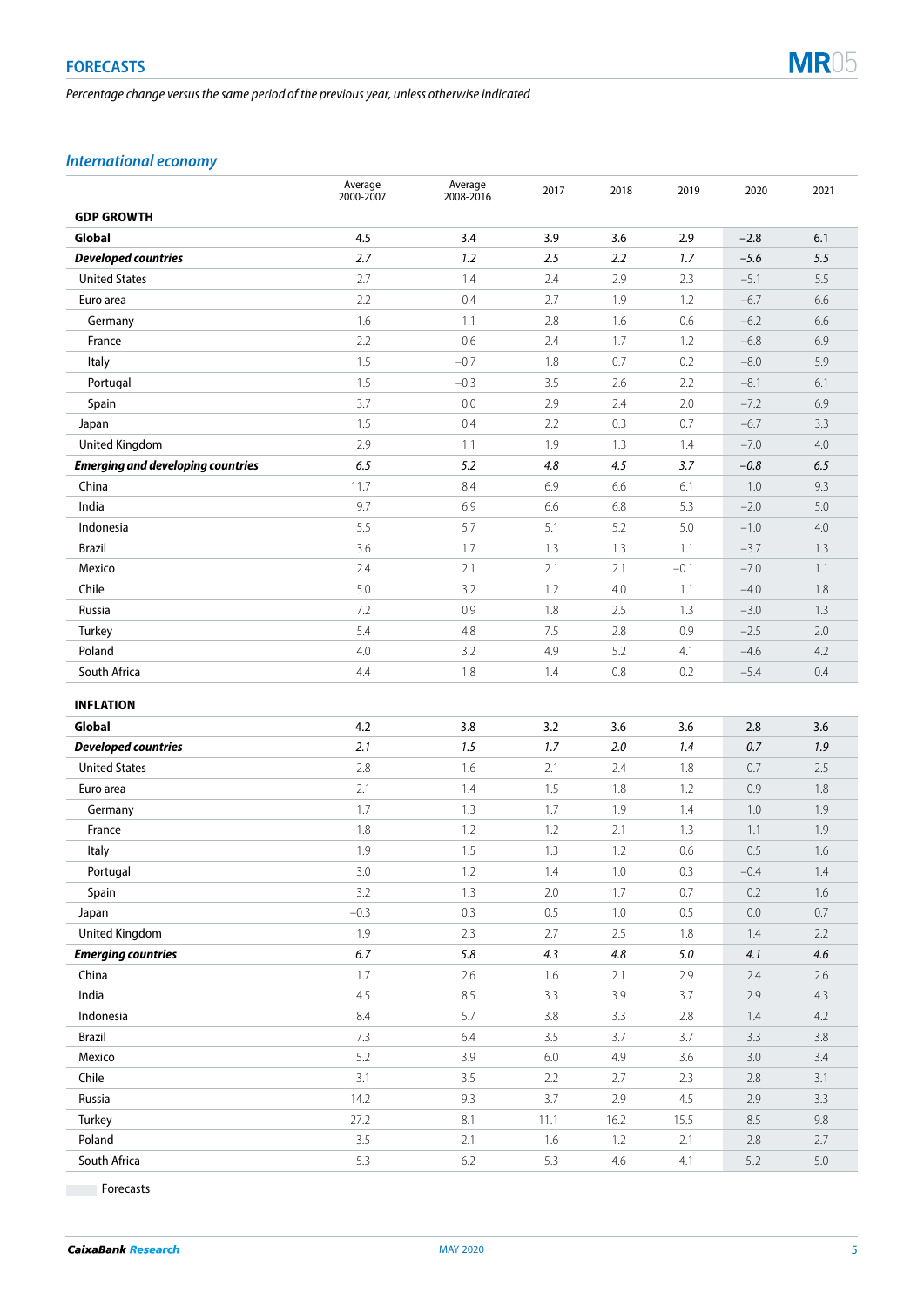*Percentage change versus the same period of the previous year, unless otherwise indicated*



# *International economy*

|                                          | Average<br>2000-2007 | Average<br>2008-2016 | 2017    | 2018    | 2019    | 2020    | 2021    |
|------------------------------------------|----------------------|----------------------|---------|---------|---------|---------|---------|
| <b>GDP GROWTH</b>                        |                      |                      |         |         |         |         |         |
| Global                                   | 4.5                  | 3.4                  | 3.9     | 3.6     | 2.9     | $-2.8$  | 6.1     |
| <b>Developed countries</b>               | 2.7                  | 1.2                  | 2.5     | 2.2     | 1.7     | $-5.6$  | 5.5     |
| <b>United States</b>                     | 2.7                  | 1.4                  | 2.4     | 2.9     | 2.3     | $-5.1$  | 5.5     |
| Euro area                                | 2.2                  | 0.4                  | 2.7     | 1.9     | 1.2     | $-6.7$  | 6.6     |
| Germany                                  | 1.6                  | 1.1                  | 2.8     | 1.6     | 0.6     | $-6.2$  | 6.6     |
| France                                   | 2.2                  | 0.6                  | 2.4     | 1.7     | 1.2     | $-6.8$  | 6.9     |
| Italy                                    | 1.5                  | $-0.7$               | 1.8     | 0.7     | 0.2     | $-8.0$  | 5.9     |
| Portugal                                 | 1.5                  | $-0.3$               | 3.5     | 2.6     | 2.2     | $-8.1$  | 6.1     |
| Spain                                    | 3.7                  | 0.0                  | 2.9     | 2.4     | 2.0     | $-7.2$  | 6.9     |
| Japan                                    | 1.5                  | 0.4                  | 2.2     | 0.3     | 0.7     | $-6.7$  | 3.3     |
| United Kingdom                           | 2.9                  | 1.1                  | 1.9     | 1.3     | 1.4     | $-7.0$  | 4.0     |
| <b>Emerging and developing countries</b> | 6.5                  | 5.2                  | 4.8     | 4.5     | 3.7     | $-0.8$  | 6.5     |
| China                                    | 11.7                 | 8.4                  | 6.9     | 6.6     | 6.1     | 1.0     | 9.3     |
| India                                    | 9.7                  | 6.9                  | 6.6     | 6.8     | 5.3     | $-2.0$  | 5.0     |
| Indonesia                                | 5.5                  | 5.7                  | 5.1     | 5.2     | 5.0     | $-1.0$  | 4.0     |
| <b>Brazil</b>                            | 3.6                  | 1.7                  | 1.3     | 1.3     | 1.1     | $-3.7$  | 1.3     |
| Mexico                                   | 2.4                  | 2.1                  | 2.1     | 2.1     | $-0.1$  | $-7.0$  | 1.1     |
| Chile                                    | 5.0                  | 3.2                  | 1.2     | 4.0     | 1.1     | $-4.0$  | 1.8     |
| Russia                                   | 7.2                  | 0.9                  | 1.8     | 2.5     | 1.3     | $-3.0$  | 1.3     |
| Turkey                                   | 5.4                  | 4.8                  | 7.5     | 2.8     | 0.9     | $-2.5$  | 2.0     |
| Poland                                   | 4.0                  | 3.2                  | 4.9     | 5.2     | 4.1     | $-4.6$  | 4.2     |
| South Africa                             | 4.4                  | 1.8                  | 1.4     | 0.8     | 0.2     | $-5.4$  | 0.4     |
| <b>INFLATION</b>                         |                      |                      |         |         |         |         |         |
| Global                                   | 4.2                  | 3.8                  | 3.2     | 3.6     | 3.6     | 2.8     | 3.6     |
| <b>Developed countries</b>               | 2.1                  | 1.5                  | 1.7     | 2.0     | 1.4     | 0.7     | 1.9     |
| <b>United States</b>                     | 2.8                  | 1.6                  | 2.1     | 2.4     | 1.8     | 0.7     | 2.5     |
| Euro area                                | 2.1                  | 1.4                  | 1.5     | 1.8     | 1.2     | 0.9     | 1.8     |
| Germany                                  | 1.7                  | 1.3                  | 1.7     | 1.9     | 1.4     | 1.0     | 1.9     |
| France                                   | 1.8                  | 1.2                  | 1.2     | 2.1     | 1.3     | 1.1     | 1.9     |
| Italy                                    | 1.9                  | 1.5                  | 1.3     | 1.2     | 0.6     | 0.5     | 1.6     |
| Portugal                                 | 3.0                  | 1.2                  | 1.4     | $1.0\,$ | 0.3     | $-0.4$  | $1.4\,$ |
| Spain                                    | 3.2                  | 1.3                  | 2.0     | 1.7     | 0.7     | 0.2     | 1.6     |
| Japan                                    | $-0.3$               | 0.3                  | $0.5\,$ | 1.0     | $0.5\,$ | $0.0\,$ | $0.7\,$ |
| United Kingdom                           | 1.9                  | 2.3                  | 2.7     | 2.5     | 1.8     | $1.4\,$ | 2.2     |
| <b>Emerging countries</b>                | $6.7\,$              | $5.8\,$              | 4.3     | 4.8     | $5.0\,$ | 4.1     | 4.6     |
| China                                    | 1.7                  | $2.6\,$              | 1.6     | 2.1     | 2.9     | $2.4\,$ | $2.6\,$ |
| India                                    | 4.5                  | 8.5                  | 3.3     | 3.9     | 3.7     | $2.9\,$ | 4.3     |
| Indonesia                                | $8.4\,$              | 5.7                  | $3.8\,$ | 3.3     | $2.8\,$ | 1.4     | 4.2     |
| <b>Brazil</b>                            | 7.3                  | $6.4\,$              | 3.5     | 3.7     | 3.7     | 3.3     | $3.8\,$ |
| Mexico                                   | $5.2\,$              | 3.9                  | $6.0\,$ | 4.9     | 3.6     | 3.0     | 3.4     |
| Chile                                    | 3.1                  | 3.5                  | $2.2\,$ | 2.7     | 2.3     | $2.8\,$ | 3.1     |
| Russia                                   | 14.2                 | 9.3                  | 3.7     | $2.9$   | $4.5\,$ | $2.9\,$ | 3.3     |

**Forecasts** 

Turkey 27.2 8.1 11.1 16.2 15.5 8.5 9.8 Poland 2.1 2.1 1.6 1.2 2.1 2.3 2.7 **South Africa** 5.3 6.2 5.3 4.6 4.1 5.2 5.0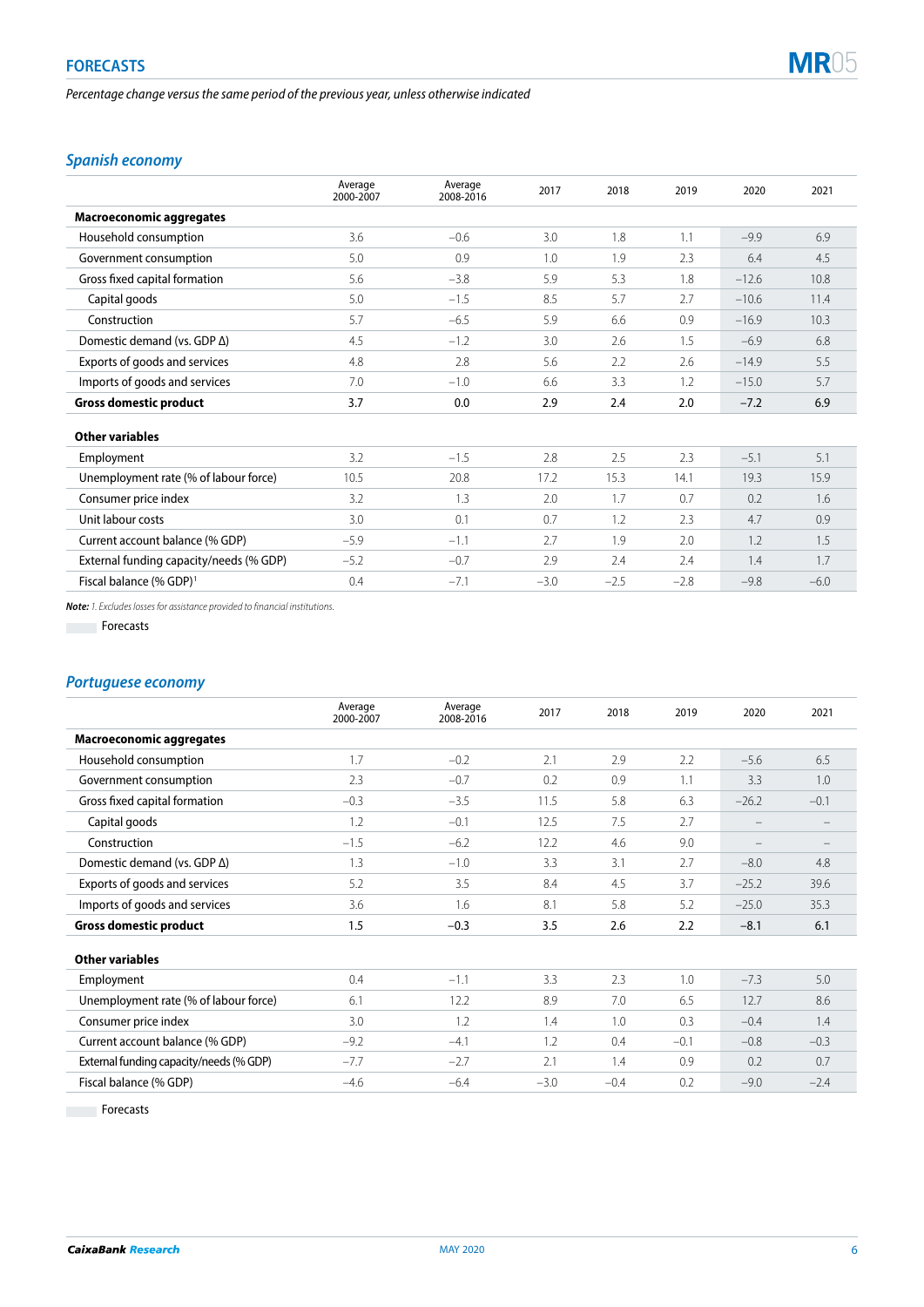*Percentage change versus the same period of the previous year, unless otherwise indicated*



# *Spanish economy*

|                                         | Average<br>2000-2007 | Average<br>2008-2016 | 2017   | 2018   | 2019   | 2020    | 2021   |
|-----------------------------------------|----------------------|----------------------|--------|--------|--------|---------|--------|
| <b>Macroeconomic aggregates</b>         |                      |                      |        |        |        |         |        |
| Household consumption                   | 3.6                  | $-0.6$               | 3.0    | 1.8    | 1.1    | $-9.9$  | 6.9    |
| Government consumption                  | 5.0                  | 0.9                  | 1.0    | 1.9    | 2.3    | 6.4     | 4.5    |
| Gross fixed capital formation           | 5.6                  | $-3.8$               | 5.9    | 5.3    | 1.8    | $-12.6$ | 10.8   |
| Capital goods                           | 5.0                  | $-1.5$               | 8.5    | 5.7    | 2.7    | $-10.6$ | 11.4   |
| Construction                            | 5.7                  | $-6.5$               | 5.9    | 6.6    | 0.9    | $-16.9$ | 10.3   |
| Domestic demand (vs. GDP Δ)             | 4.5                  | $-1.2$               | 3.0    | 2.6    | 1.5    | $-6.9$  | 6.8    |
| Exports of goods and services           | 4.8                  | 2.8                  | 5.6    | 2.2    | 2.6    | $-14.9$ | 5.5    |
| Imports of goods and services           | 7.0                  | $-1.0$               | 6.6    | 3.3    | 1.2    | $-15.0$ | 5.7    |
| <b>Gross domestic product</b>           | 3.7                  | 0.0                  | 2.9    | 2.4    | 2.0    | $-7.2$  | 6.9    |
| <b>Other variables</b>                  |                      |                      |        |        |        |         |        |
| Employment                              | 3.2                  | $-1.5$               | 2.8    | 2.5    | 2.3    | $-5.1$  | 5.1    |
| Unemployment rate (% of labour force)   | 10.5                 | 20.8                 | 17.2   | 15.3   | 14.1   | 19.3    | 15.9   |
| Consumer price index                    | 3.2                  | 1.3                  | 2.0    | 1.7    | 0.7    | 0.2     | 1.6    |
| Unit labour costs                       | 3.0                  | 0.1                  | 0.7    | 1.2    | 2.3    | 4.7     | 0.9    |
| Current account balance (% GDP)         | $-5.9$               | $-1.1$               | 2.7    | 1.9    | 2.0    | 1.2     | 1.5    |
| External funding capacity/needs (% GDP) | $-5.2$               | $-0.7$               | 2.9    | 2.4    | 2.4    | 1.4     | 1.7    |
| Fiscal balance (% GDP) <sup>1</sup>     | 0.4                  | $-7.1$               | $-3.0$ | $-2.5$ | $-2.8$ | $-9.8$  | $-6.0$ |

*Note: 1. Excludes losses for assistance provided to financial institutions.*

**Forecasts** 

## *Portuguese economy*

|                                         | Average<br>2000-2007 | Average<br>2008-2016 | 2017   | 2018   | 2019   | 2020                     | 2021                     |
|-----------------------------------------|----------------------|----------------------|--------|--------|--------|--------------------------|--------------------------|
| <b>Macroeconomic aggregates</b>         |                      |                      |        |        |        |                          |                          |
| Household consumption                   | 1.7                  | $-0.2$               | 2.1    | 2.9    | 2.2    | $-5.6$                   | 6.5                      |
| Government consumption                  | 2.3                  | $-0.7$               | 0.2    | 0.9    | 1.1    | 3.3                      | 1.0                      |
| Gross fixed capital formation           | $-0.3$               | $-3.5$               | 11.5   | 5.8    | 6.3    | $-26.2$                  | $-0.1$                   |
| Capital goods                           | 1.2                  | $-0.1$               | 12.5   | 7.5    | 2.7    | $\overline{\phantom{0}}$ |                          |
| Construction                            | $-1.5$               | $-6.2$               | 12.2   | 4.6    | 9.0    | $\overline{\phantom{0}}$ | $\overline{\phantom{a}}$ |
| Domestic demand (vs. GDP $\Delta$ )     | 1.3                  | $-1.0$               | 3.3    | 3.1    | 2.7    | $-8.0$                   | 4.8                      |
| Exports of goods and services           | 5.2                  | 3.5                  | 8.4    | 4.5    | 3.7    | $-25.2$                  | 39.6                     |
| Imports of goods and services           | 3.6                  | 1.6                  | 8.1    | 5.8    | 5.2    | $-25.0$                  | 35.3                     |
| <b>Gross domestic product</b>           | 1.5                  | $-0.3$               | 3.5    | 2.6    | 2.2    | $-8.1$                   | 6.1                      |
| <b>Other variables</b>                  |                      |                      |        |        |        |                          |                          |
| Employment                              | 0.4                  | $-1.1$               | 3.3    | 2.3    | 1.0    | $-7.3$                   | 5.0                      |
| Unemployment rate (% of labour force)   | 6.1                  | 12.2                 | 8.9    | 7.0    | 6.5    | 12.7                     | 8.6                      |
| Consumer price index                    | 3.0                  | 1.2                  | 1.4    | 1.0    | 0.3    | $-0.4$                   | 1.4                      |
| Current account balance (% GDP)         | $-9.2$               | $-4.1$               | 1.2    | 0.4    | $-0.1$ | $-0.8$                   | $-0.3$                   |
| External funding capacity/needs (% GDP) | $-7.7$               | $-2.7$               | 2.1    | 1.4    | 0.9    | 0.2                      | 0.7                      |
| Fiscal balance (% GDP)                  | $-4.6$               | $-6.4$               | $-3.0$ | $-0.4$ | 0.2    | $-9.0$                   | $-2.4$                   |

Forecasts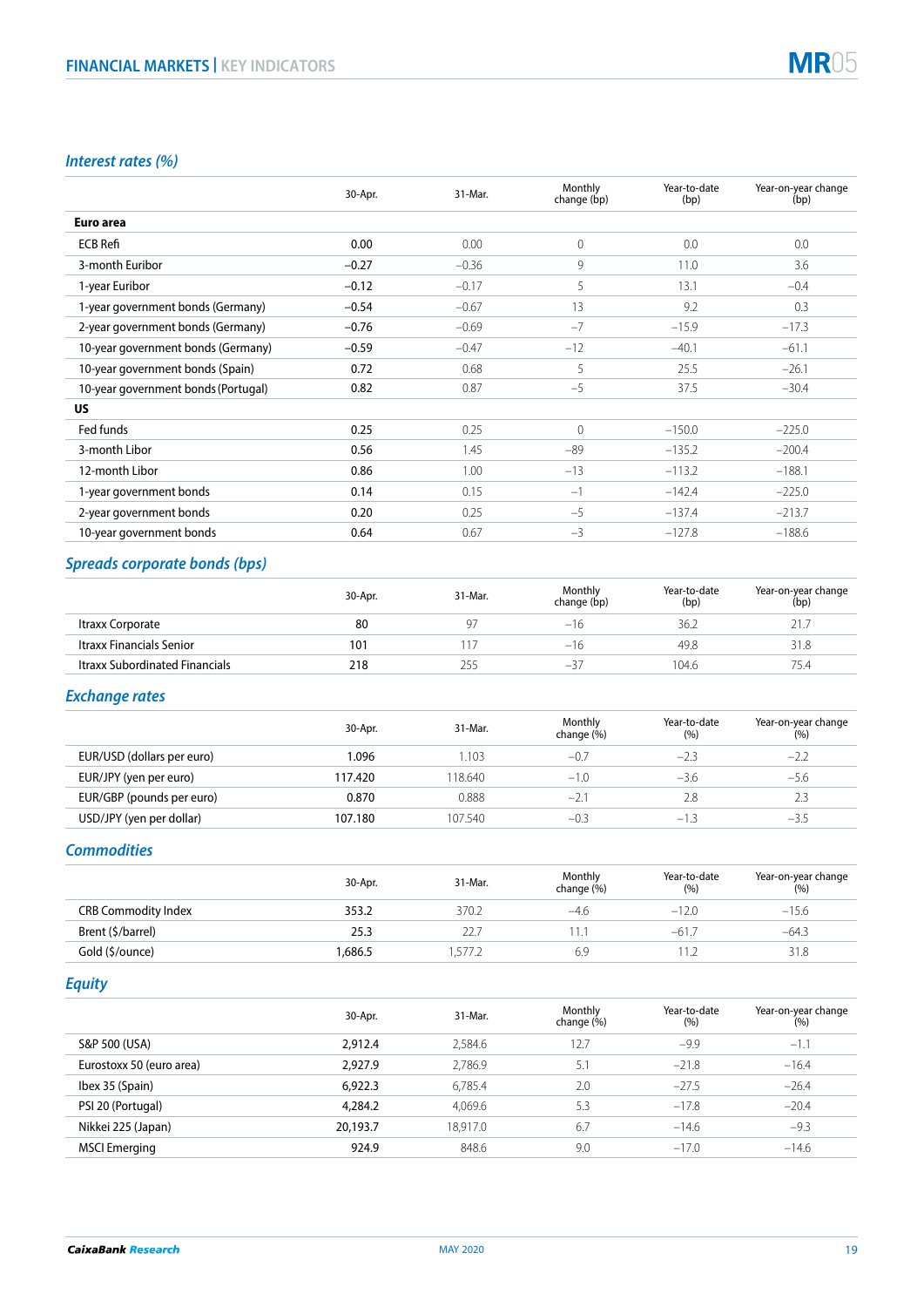

# *Interest rates (%)*

|                                     | 30-Apr. | 31-Mar. | Monthly<br>change (bp) | Year-to-date<br>(bp) | Year-on-year change<br>(bp) |
|-------------------------------------|---------|---------|------------------------|----------------------|-----------------------------|
| Euro area                           |         |         |                        |                      |                             |
| <b>ECB Refi</b>                     | 0.00    | 0.00    | $\overline{0}$         | 0.0                  | 0.0                         |
| 3-month Euribor                     | $-0.27$ | $-0.36$ | 9                      | 11.0                 | 3.6                         |
| 1-year Euribor                      | $-0.12$ | $-0.17$ | 5                      | 13.1                 | $-0.4$                      |
| 1-year government bonds (Germany)   | $-0.54$ | $-0.67$ | 13                     | 9.2                  | 0.3                         |
| 2-year government bonds (Germany)   | $-0.76$ | $-0.69$ | $-7$                   | $-15.9$              | $-17.3$                     |
| 10-year government bonds (Germany)  | $-0.59$ | $-0.47$ | $-12$                  | $-40.1$              | $-61.1$                     |
| 10-year government bonds (Spain)    | 0.72    | 0.68    | 5                      | 25.5                 | $-26.1$                     |
| 10-year government bonds (Portugal) | 0.82    | 0.87    | $-5$                   | 37.5                 | $-30.4$                     |
| US.                                 |         |         |                        |                      |                             |
| Fed funds                           | 0.25    | 0.25    | $\Omega$               | $-150.0$             | $-225.0$                    |
| 3-month Libor                       | 0.56    | 1.45    | $-89$                  | $-135.2$             | $-200.4$                    |
| 12-month Libor                      | 0.86    | 1.00    | $-13$                  | $-113.2$             | $-188.1$                    |
| 1-year government bonds             | 0.14    | 0.15    | $-1$                   | $-142.4$             | $-225.0$                    |
| 2-year government bonds             | 0.20    | 0.25    | $-5$                   | $-137.4$             | $-213.7$                    |
| 10-year government bonds            | 0.64    | 0.67    | $-3$                   | $-127.8$             | $-188.6$                    |

# *Spreads corporate bonds (bps)*

|                                       | 30-Apr. | 31-Mar. | Monthly<br>change (bp) | Year-to-date<br>(bp) | Year-on-year change<br>(bp) |
|---------------------------------------|---------|---------|------------------------|----------------------|-----------------------------|
| Itraxx Corporate                      | 80      | 97      | $-16$                  | 36.2                 | 21.                         |
| Itraxx Financials Senior              | 101     |         | $-16$                  | 49.8                 | 31.8                        |
| <b>Itraxx Subordinated Financials</b> | 218     | 255     | $-51$                  | 104.6                | 75.4                        |

# *Exchange rates*

|                            | 30-Apr. | 31-Mar. | Monthly<br>change (%) | Year-to-date<br>(%) | Year-on-year change<br>(%) |
|----------------------------|---------|---------|-----------------------|---------------------|----------------------------|
| EUR/USD (dollars per euro) | 1.096   | .103    | $-0.7$                | $-2.3$              | $-2.2$                     |
| EUR/JPY (yen per euro)     | 117.420 | 18.640  | $-1.0$                | $-3.6$              | $-5.6$                     |
| EUR/GBP (pounds per euro)  | 0.870   | 0.888   | $-2$ .                | 2.8                 | 2.3                        |
| USD/JPY (yen per dollar)   | 107.180 | 107.540 | $-0.3$                | $-1.3$              | $-3.5$                     |

## *Commodities*

|                            | 30-Apr. | 31-Mar. | Monthly<br>change (%) | Year-to-date<br>(% ) | Year-on-year change<br>(%) |
|----------------------------|---------|---------|-----------------------|----------------------|----------------------------|
| <b>CRB Commodity Index</b> | 353.2   | 370.2   | -4.6                  | $-12.0$              | $-15.6$                    |
| Brent (\$/barrel)          | 25.3    | 22.7    |                       | $-61.7$              | $-64.3$                    |
| Gold (\$/ounce)            | 1.686.5 | .577.2  | 6.9                   |                      | 31.8                       |

*Equity*

|                          | 30-Apr.  | 31-Mar.  | Monthly<br>change (%) | Year-to-date<br>(% ) | Year-on-year change<br>(%) |
|--------------------------|----------|----------|-----------------------|----------------------|----------------------------|
| S&P 500 (USA)            | 2.912.4  | 2,584.6  | 12.7                  | $-9.9$               | $-1.1$                     |
| Eurostoxx 50 (euro area) | 2.927.9  | 2,786.9  | 5.1                   | $-21.8$              | $-16.4$                    |
| Ibex 35 (Spain)          | 6,922.3  | 6,785.4  | 2.0                   | $-27.5$              | $-26.4$                    |
| PSI 20 (Portugal)        | 4,284.2  | 4,069.6  | 5.3                   | $-17.8$              | $-20.4$                    |
| Nikkei 225 (Japan)       | 20.193.7 | 18.917.0 | 6.7                   | $-14.6$              | $-9.3$                     |
| <b>MSCI Emerging</b>     | 924.9    | 848.6    | 9.0                   | $-17.0$              | $-14.6$                    |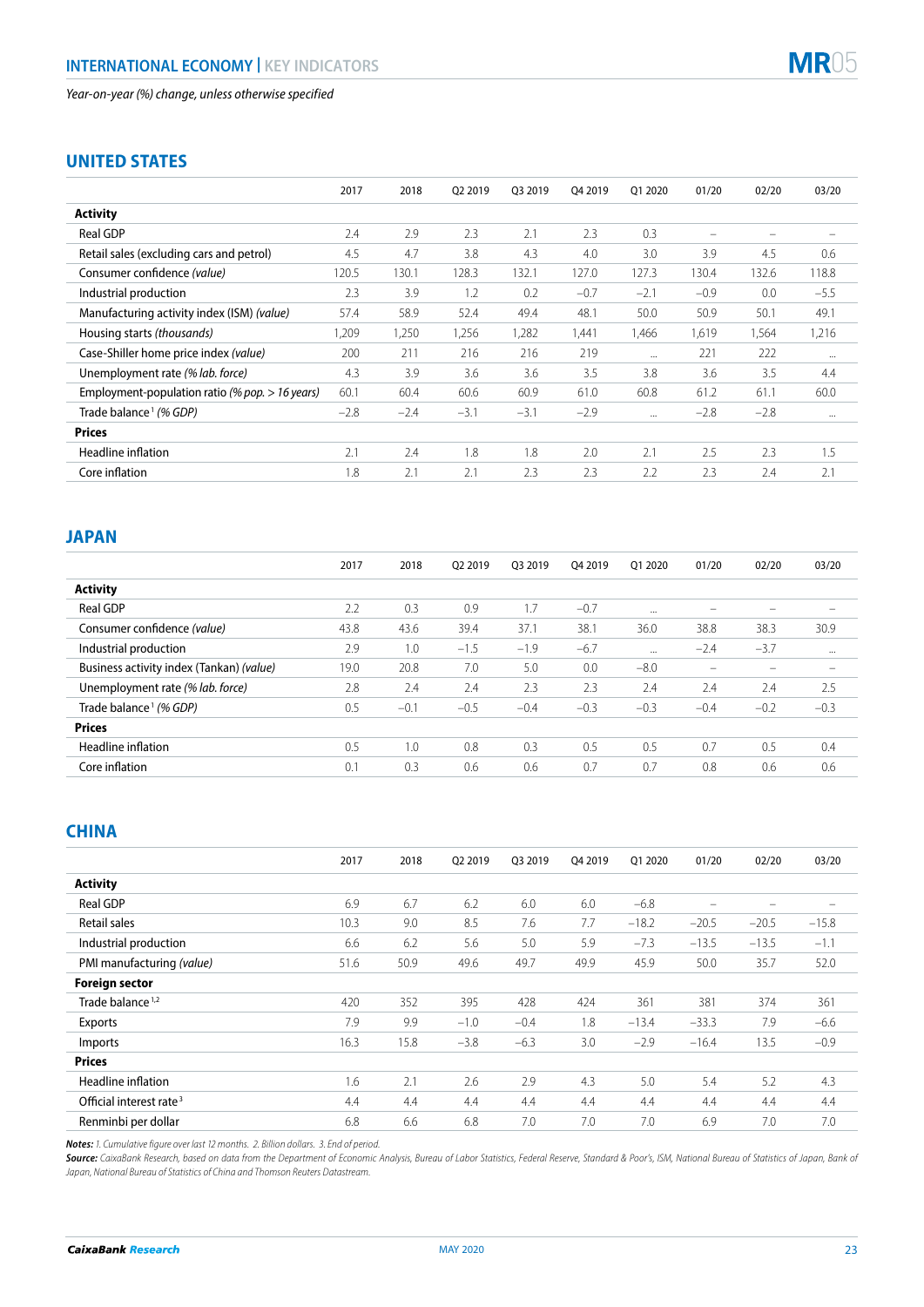# **MR05**

# **UNITED STATES**

|                                                 | 2017   | 2018   | Q2 2019 | 03 2019 | Q4 2019 | Q1 2020  | 01/20                    | 02/20  | 03/20                    |
|-------------------------------------------------|--------|--------|---------|---------|---------|----------|--------------------------|--------|--------------------------|
| <b>Activity</b>                                 |        |        |         |         |         |          |                          |        |                          |
| <b>Real GDP</b>                                 | 2.4    | 2.9    | 2.3     | 2.1     | 2.3     | 0.3      | $\overline{\phantom{0}}$ |        | $\overline{\phantom{m}}$ |
| Retail sales (excluding cars and petrol)        | 4.5    | 4.7    | 3.8     | 4.3     | 4.0     | 3.0      | 3.9                      | 4.5    | 0.6                      |
| Consumer confidence (value)                     | 120.5  | 130.1  | 128.3   | 132.1   | 127.0   | 127.3    | 130.4                    | 132.6  | 118.8                    |
| Industrial production                           | 2.3    | 3.9    | 1.2     | 0.2     | $-0.7$  | $-2.1$   | $-0.9$                   | 0.0    | $-5.5$                   |
| Manufacturing activity index (ISM) (value)      | 57.4   | 58.9   | 52.4    | 49.4    | 48.1    | 50.0     | 50.9                     | 50.1   | 49.1                     |
| Housing starts (thousands)                      | 1,209  | 1,250  | 1,256   | 1,282   | 1,441   | 1,466    | 1,619                    | 1,564  | 1,216                    |
| Case-Shiller home price index (value)           | 200    | 211    | 216     | 216     | 219     | $\cdots$ | 221                      | 222    | $\cdots$                 |
| Unemployment rate (% lab. force)                | 4.3    | 3.9    | 3.6     | 3.6     | 3.5     | 3.8      | 3.6                      | 3.5    | 4.4                      |
| Employment-population ratio (% pop. > 16 years) | 60.1   | 60.4   | 60.6    | 60.9    | 61.0    | 60.8     | 61.2                     | 61.1   | 60.0                     |
| Trade balance <sup>1</sup> (% GDP)              | $-2.8$ | $-2.4$ | $-3.1$  | $-3.1$  | $-2.9$  | $\cdots$ | $-2.8$                   | $-2.8$ | $\cdots$                 |
| <b>Prices</b>                                   |        |        |         |         |         |          |                          |        |                          |
| Headline inflation                              | 2.1    | 2.4    | 1.8     | 1.8     | 2.0     | 2.1      | 2.5                      | 2.3    | 1.5                      |
| Core inflation                                  | 1.8    | 2.1    | 2.1     | 2.3     | 2.3     | 2.2      | 2.3                      | 2.4    | 2.1                      |

# **JAPAN**

|                                          | 2017 | 2018   | 02 2019 | 03 2019 | 04 2019 | 01 2020  | 01/20                    | 02/20  | 03/20             |
|------------------------------------------|------|--------|---------|---------|---------|----------|--------------------------|--------|-------------------|
| <b>Activity</b>                          |      |        |         |         |         |          |                          |        |                   |
| <b>Real GDP</b>                          | 2.2  | 0.3    | 0.9     | 1.7     | $-0.7$  | $\cdots$ | $\overline{\phantom{a}}$ |        | $\hspace{0.05cm}$ |
| Consumer confidence (value)              | 43.8 | 43.6   | 39.4    | 37.1    | 38.1    | 36.0     | 38.8                     | 38.3   | 30.9              |
| Industrial production                    | 2.9  | 1.0    | $-1.5$  | $-1.9$  | $-6.7$  | $\cdots$ | $-2.4$                   | $-3.7$ | $\cdots$          |
| Business activity index (Tankan) (value) | 19.0 | 20.8   | 7.0     | 5.0     | 0.0     | $-8.0$   | $\overline{\phantom{a}}$ |        | $\hspace{0.05cm}$ |
| Unemployment rate (% lab. force)         | 2.8  | 2.4    | 2.4     | 2.3     | 2.3     | 2.4      | 2.4                      | 2.4    | 2.5               |
| Trade balance <sup>1</sup> (% GDP)       | 0.5  | $-0.1$ | $-0.5$  | $-0.4$  | $-0.3$  | $-0.3$   | $-0.4$                   | $-0.2$ | $-0.3$            |
| <b>Prices</b>                            |      |        |         |         |         |          |                          |        |                   |
| Headline inflation                       | 0.5  | 1.0    | 0.8     | 0.3     | 0.5     | 0.5      | 0.7                      | 0.5    | 0.4               |
| Core inflation                           | 0.1  | 0.3    | 0.6     | 0.6     | 0.7     | 0.7      | 0.8                      | 0.6    | 0.6               |

# **CHINA**

|                                     | 2017 | 2018 | Q2 2019 | 03 2019 | Q4 2019 | 01 2020 | 01/20                    | 02/20                    | 03/20                    |
|-------------------------------------|------|------|---------|---------|---------|---------|--------------------------|--------------------------|--------------------------|
| <b>Activity</b>                     |      |      |         |         |         |         |                          |                          |                          |
| <b>Real GDP</b>                     | 6.9  | 6.7  | 6.2     | 6.0     | 6.0     | $-6.8$  | $\overline{\phantom{0}}$ | $\overline{\phantom{m}}$ | $\overline{\phantom{m}}$ |
| <b>Retail sales</b>                 | 10.3 | 9.0  | 8.5     | 7.6     | 7.7     | $-18.2$ | $-20.5$                  | $-20.5$                  | $-15.8$                  |
| Industrial production               | 6.6  | 6.2  | 5.6     | 5.0     | 5.9     | $-7.3$  | $-13.5$                  | $-13.5$                  | $-1.1$                   |
| PMI manufacturing (value)           | 51.6 | 50.9 | 49.6    | 49.7    | 49.9    | 45.9    | 50.0                     | 35.7                     | 52.0                     |
| <b>Foreign sector</b>               |      |      |         |         |         |         |                          |                          |                          |
| Trade balance <sup>1,2</sup>        | 420  | 352  | 395     | 428     | 424     | 361     | 381                      | 374                      | 361                      |
| Exports                             | 7.9  | 9.9  | $-1.0$  | $-0.4$  | 1.8     | $-13.4$ | $-33.3$                  | 7.9                      | $-6.6$                   |
| Imports                             | 16.3 | 15.8 | $-3.8$  | $-6.3$  | 3.0     | $-2.9$  | $-16.4$                  | 13.5                     | $-0.9$                   |
| <b>Prices</b>                       |      |      |         |         |         |         |                          |                          |                          |
| Headline inflation                  | 1.6  | 2.1  | 2.6     | 2.9     | 4.3     | 5.0     | 5.4                      | 5.2                      | 4.3                      |
| Official interest rate <sup>3</sup> | 4.4  | 4.4  | 4.4     | 4.4     | 4.4     | 4.4     | 4.4                      | 4.4                      | 4.4                      |
| Renminbi per dollar                 | 6.8  | 6.6  | 6.8     | 7.0     | 7.0     | 7.0     | 6.9                      | 7.0                      | 7.0                      |

*Notes: 1. Cumulative figure over last 12 months. 2. Billion dollars. 3. End of period.*

Source: CaixaBank Research, based on data from the Department of Economic Analysis, Bureau of Labor Statistics, Federal Reserve, Standard & Poor's, ISM, National Bureau of Statistics of Japan, Bank of *Japan, National Bureau of Statistics of China and Thomson Reuters Datastream.*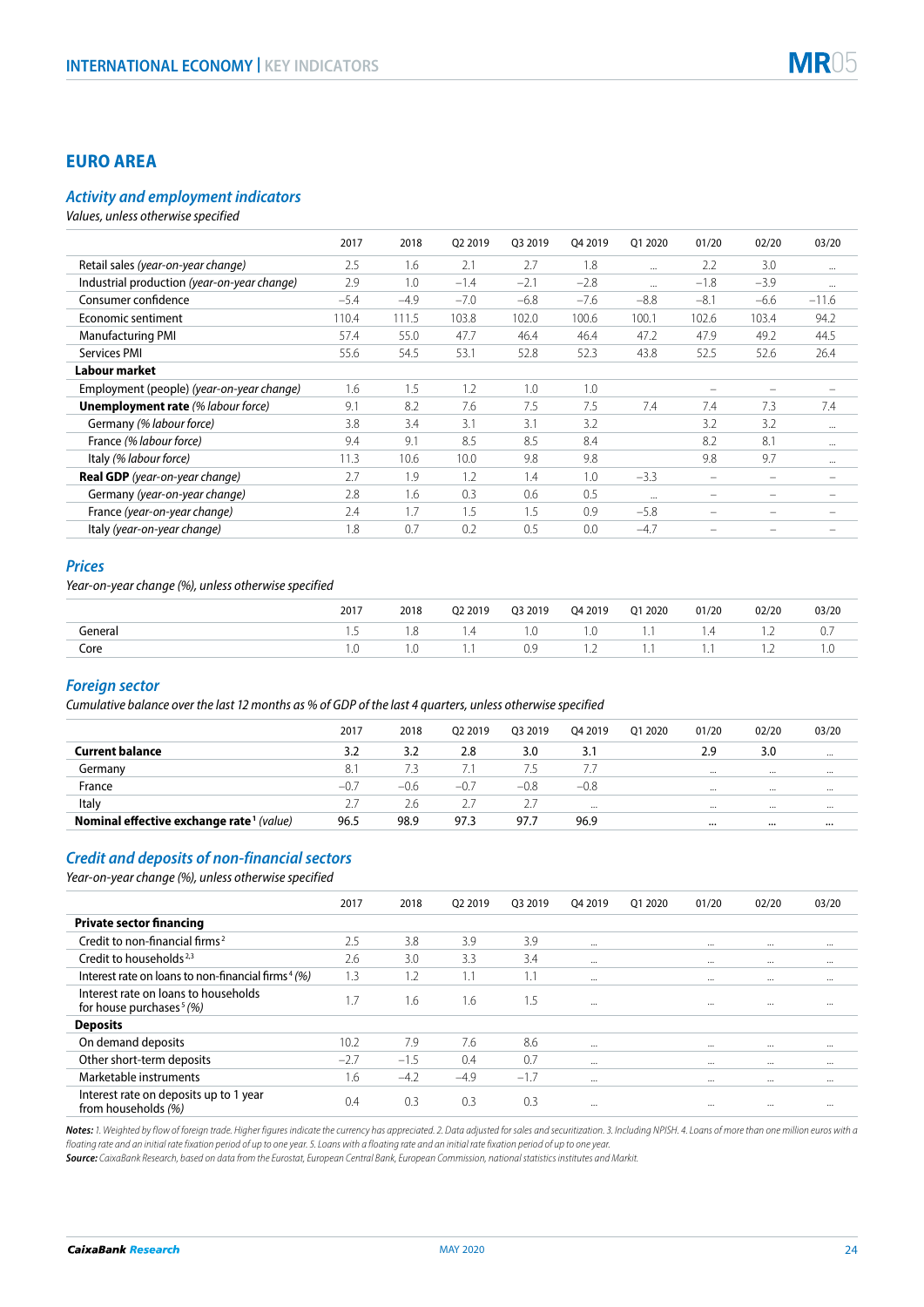## **EURO AREA**

#### *Activity and employment indicators*

*Values, unless otherwise specified*

| 2.5<br>2.1<br>1.8<br>2.2<br>Retail sales (year-on-year change)<br>2.7<br>3.0<br>1.6<br><br>$\cdots$<br>Industrial production (year-on-year change)<br>2.9<br>$-2.8$<br>1.0<br>$-2.1$<br>$-1.8$<br>$-3.9$<br>$-1.4$<br>$\cdots$<br>$\cdots$<br>Consumer confidence<br>$-7.0$<br>$-6.8$<br>$-7.6$<br>$-8.8$<br>$-4.9$<br>$-6.6$<br>$-11.6$<br>$-5.4$<br>$-8.1$<br>Economic sentiment<br>110.4<br>111.5<br>103.8<br>102.0<br>100.6<br>100.1<br>102.6<br>103.4<br>94.2<br>47.7<br>47.2<br><b>Manufacturing PMI</b><br>57.4<br>46.4<br>47.9<br>49.2<br>44.5<br>55.0<br>46.4<br>Services PMI<br>26.4<br>55.6<br>54.5<br>53.1<br>52.8<br>52.3<br>43.8<br>52.5<br>52.6<br>Labour market<br>1.5<br>1.0<br>Employment (people) (year-on-year change)<br>1.6<br>1.2<br>1.0<br>$\overline{\phantom{0}}$<br><b>Unemployment rate (% labour force)</b><br>9.1<br>8.2<br>7.5<br>7.5<br>7.6<br>7.4<br>7.4<br>7.3<br>7.4<br>3.2<br>Germany (% labour force)<br>3.8<br>3.1<br>3.1<br>3.2<br>3.2<br>3.4<br>$\cdots$<br>France (% labour force)<br>9.1<br>9.4<br>8.5<br>8.5<br>8.4<br>8.2<br>8.1<br>$\cdots$ |
|------------------------------------------------------------------------------------------------------------------------------------------------------------------------------------------------------------------------------------------------------------------------------------------------------------------------------------------------------------------------------------------------------------------------------------------------------------------------------------------------------------------------------------------------------------------------------------------------------------------------------------------------------------------------------------------------------------------------------------------------------------------------------------------------------------------------------------------------------------------------------------------------------------------------------------------------------------------------------------------------------------------------------------------------------------------------------------------|
|                                                                                                                                                                                                                                                                                                                                                                                                                                                                                                                                                                                                                                                                                                                                                                                                                                                                                                                                                                                                                                                                                          |
|                                                                                                                                                                                                                                                                                                                                                                                                                                                                                                                                                                                                                                                                                                                                                                                                                                                                                                                                                                                                                                                                                          |
|                                                                                                                                                                                                                                                                                                                                                                                                                                                                                                                                                                                                                                                                                                                                                                                                                                                                                                                                                                                                                                                                                          |
|                                                                                                                                                                                                                                                                                                                                                                                                                                                                                                                                                                                                                                                                                                                                                                                                                                                                                                                                                                                                                                                                                          |
|                                                                                                                                                                                                                                                                                                                                                                                                                                                                                                                                                                                                                                                                                                                                                                                                                                                                                                                                                                                                                                                                                          |
|                                                                                                                                                                                                                                                                                                                                                                                                                                                                                                                                                                                                                                                                                                                                                                                                                                                                                                                                                                                                                                                                                          |
|                                                                                                                                                                                                                                                                                                                                                                                                                                                                                                                                                                                                                                                                                                                                                                                                                                                                                                                                                                                                                                                                                          |
|                                                                                                                                                                                                                                                                                                                                                                                                                                                                                                                                                                                                                                                                                                                                                                                                                                                                                                                                                                                                                                                                                          |
|                                                                                                                                                                                                                                                                                                                                                                                                                                                                                                                                                                                                                                                                                                                                                                                                                                                                                                                                                                                                                                                                                          |
|                                                                                                                                                                                                                                                                                                                                                                                                                                                                                                                                                                                                                                                                                                                                                                                                                                                                                                                                                                                                                                                                                          |
|                                                                                                                                                                                                                                                                                                                                                                                                                                                                                                                                                                                                                                                                                                                                                                                                                                                                                                                                                                                                                                                                                          |
| 9.8<br>Italy (% labour force)<br>9.8<br>9.8<br>9.7<br>11.3<br>10.0<br>10.6<br>$\cdots$                                                                                                                                                                                                                                                                                                                                                                                                                                                                                                                                                                                                                                                                                                                                                                                                                                                                                                                                                                                                   |
| Real GDP (year-on-year change)<br>2.7<br>1.9<br>1.0<br>$-3.3$<br>1.2<br>1.4<br>$\overline{\phantom{0}}$                                                                                                                                                                                                                                                                                                                                                                                                                                                                                                                                                                                                                                                                                                                                                                                                                                                                                                                                                                                  |
| 0.5<br>2.8<br>1.6<br>0.3<br>0.6<br>Germany (year-on-year change)<br>$\overline{\phantom{0}}$<br>                                                                                                                                                                                                                                                                                                                                                                                                                                                                                                                                                                                                                                                                                                                                                                                                                                                                                                                                                                                         |
| 2.4<br>1.7<br>0.9<br>France (year-on-year change)<br>1.5<br>1.5<br>$-5.8$<br>$\overline{\phantom{0}}$                                                                                                                                                                                                                                                                                                                                                                                                                                                                                                                                                                                                                                                                                                                                                                                                                                                                                                                                                                                    |
| Italy (year-on-year change)<br>1.8<br>0.7<br>0.2<br>0.5<br>0.0<br>$-4.7$                                                                                                                                                                                                                                                                                                                                                                                                                                                                                                                                                                                                                                                                                                                                                                                                                                                                                                                                                                                                                 |

#### *Prices*

*Year-on-year change (%), unless otherwise specified*

|         | 2017 | 2018 | Q2 2019 | Q3 2019 | Q4 2019 | Q1 2020 | 01/20    | 02/20                    | 03/20       |
|---------|------|------|---------|---------|---------|---------|----------|--------------------------|-------------|
| General |      |      | 1.4     | I.U     | LO.     | .       | 4<br>. . | $\overline{\phantom{a}}$ | $U_{\cdot}$ |
| Core    | L.   |      | .       | 0.9     | $-$     | .       |          | $\cdot$                  | 1.0         |

#### *Foreign sector*

*Cumulative balance over the last 12 months as % of GDP of the last 4 quarters, unless otherwise specified*

|                                                      | 2017   | 2018   | 02 2019 | 03 2019 | Q4 2019  | 01 20 20 | 01/20    | 02/20    | 03/20    |
|------------------------------------------------------|--------|--------|---------|---------|----------|----------|----------|----------|----------|
| <b>Current balance</b>                               | 3.2    | 3.2    | 2.8     | 3.0     | 3.1      |          | 2.9      | 3.0      | $\cdots$ |
| Germany                                              | 8.1    |        |         | 7.5     |          |          | $\cdots$ | $\cdots$ | $\cdots$ |
| France                                               | $-0.7$ | $-0.6$ | $-0.7$  | $-0.8$  | $-0.8$   |          | $\cdots$ | $\cdots$ | $\cdots$ |
| Italy                                                |        | 2.6    |         |         | $\cdots$ |          | $\cdots$ | $\cdots$ | $\cdots$ |
| Nominal effective exchange rate <sup>1</sup> (value) | 96.5   | 98.9   | 97.3    | 97.7    | 96.9     |          | $\cdots$ | $\cdots$ |          |

## *Credit and deposits of non-financial sectors*

*Year-on-year change (%), unless otherwise specified*

|                                                                              | 2017   | 2018   | 02 2019 | 03 2019      | 04 2019  | 01 2020 | 01/20    | 02/20    | 03/20    |
|------------------------------------------------------------------------------|--------|--------|---------|--------------|----------|---------|----------|----------|----------|
| <b>Private sector financing</b>                                              |        |        |         |              |          |         |          |          |          |
| Credit to non-financial firms <sup>2</sup>                                   | 2.5    | 3.8    | 3.9     | 3.9          | $\cdots$ |         | $\cdots$ | $\cdots$ | $\cdots$ |
| Credit to households <sup>2,3</sup>                                          | 2.6    | 3.0    | 3.3     | 3.4          | $\cdots$ |         | $\cdots$ | $\cdots$ | $\cdots$ |
| Interest rate on loans to non-financial firms <sup>4</sup> (%)               | 1.3    | 1.2    | 1.1     | $\mathbf{L}$ | $\cdots$ |         | $\cdots$ | $\cdots$ | $\cdots$ |
| Interest rate on loans to households<br>for house purchases <sup>5</sup> (%) | 1.7    | 1.6    | 1.6     | 1.5          | $\cdots$ |         | $\cdots$ | $\cdots$ | $\cdots$ |
| <b>Deposits</b>                                                              |        |        |         |              |          |         |          |          |          |
| On demand deposits                                                           | 10.2   | 7.9    | 7.6     | 8.6          | $\cdots$ |         | $\cdots$ | $\cdots$ | $\cdots$ |
| Other short-term deposits                                                    | $-2.7$ | $-1.5$ | 0.4     | 0.7          | $\cdots$ |         | $\cdots$ | $\cdots$ | $\cdots$ |
| Marketable instruments                                                       | 1.6    | $-4.2$ | $-4.9$  | $-1.7$       | $\cdots$ |         | $\cdots$ | $\cdots$ | $\cdots$ |
| Interest rate on deposits up to 1 year<br>from households (%)                | 0.4    | 0.3    | 0.3     | 0.3          | $\cdots$ |         | $\cdots$ |          | $\cdots$ |

Notes: 1. Weighted by flow of foreign trade. Higher figures indicate the currency has appreciated. 2. Data adjusted for sales and securitization. 3. Including NPISH. 4. Loans of more than one million euros with a *floating rate and an initial rate fixation period of up to one year. 5. Loans with a floating rate and an initial rate fixation period of up to one year.*

*Source: CaixaBank Research, based on data from the Eurostat, European Central Bank, European Commission, national statistics institutes and Markit.*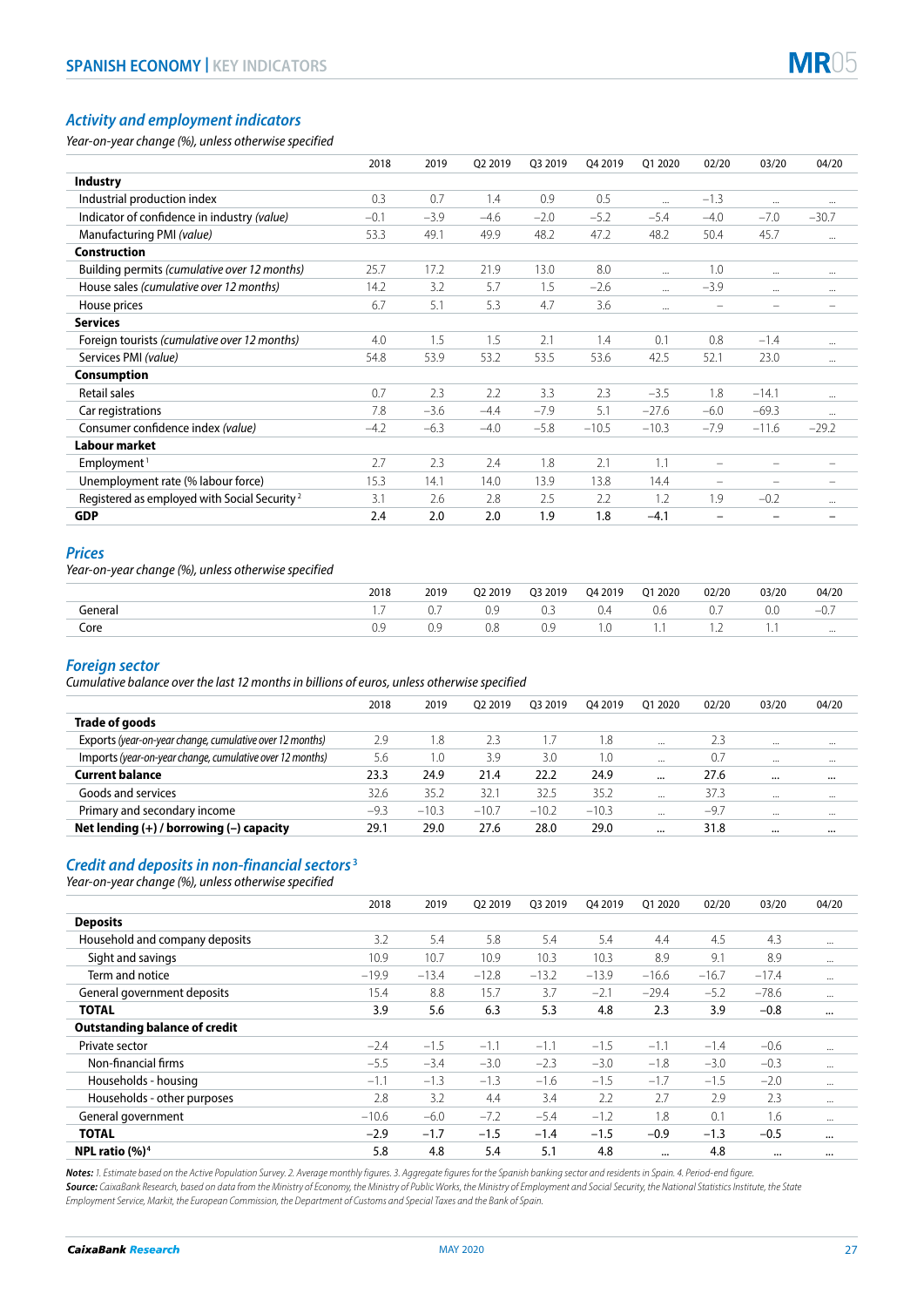

# *Activity and employment indicators*

*Year-on-year change (%), unless otherwise specified*

|                                                          | 2018   | 2019   | Q2 2019 | 03 2019 | 04 2019 | 01 2020  | 02/20                    | 03/20                    | 04/20                    |
|----------------------------------------------------------|--------|--------|---------|---------|---------|----------|--------------------------|--------------------------|--------------------------|
| <b>Industry</b>                                          |        |        |         |         |         |          |                          |                          |                          |
| Industrial production index                              | 0.3    | 0.7    | 1.4     | 0.9     | 0.5     | $\cdots$ | $-1.3$                   |                          | $\cdots$                 |
| Indicator of confidence in industry (value)              | $-0.1$ | $-3.9$ | $-4.6$  | $-2.0$  | $-5.2$  | $-5.4$   | $-4.0$                   | $-7.0$                   | $-30.7$                  |
| Manufacturing PMI (value)                                | 53.3   | 49.1   | 49.9    | 48.2    | 47.2    | 48.2     | 50.4                     | 45.7                     | $\cdots$                 |
| <b>Construction</b>                                      |        |        |         |         |         |          |                          |                          |                          |
| Building permits (cumulative over 12 months)             | 25.7   | 17.2   | 21.9    | 13.0    | 8.0     |          | 1.0                      | $\cdots$                 | $\cdots$                 |
| House sales (cumulative over 12 months)                  | 14.2   | 3.2    | 5.7     | 1.5     | $-2.6$  |          | $-3.9$                   | $\cdots$                 | $\cdots$                 |
| House prices                                             | 6.7    | 5.1    | 5.3     | 4.7     | 3.6     | $\cdots$ | $\overline{\phantom{a}}$ | $\overline{\phantom{0}}$ |                          |
| <b>Services</b>                                          |        |        |         |         |         |          |                          |                          |                          |
| Foreign tourists (cumulative over 12 months)             | 4.0    | 1.5    | 1.5     | 2.1     | 1.4     | 0.1      | 0.8                      | $-1.4$                   | $\cdots$                 |
| Services PMI (value)                                     | 54.8   | 53.9   | 53.2    | 53.5    | 53.6    | 42.5     | 52.1                     | 23.0                     | $\cdots$                 |
| <b>Consumption</b>                                       |        |        |         |         |         |          |                          |                          |                          |
| <b>Retail sales</b>                                      | 0.7    | 2.3    | 2.2     | 3.3     | 2.3     | $-3.5$   | 1.8                      | $-14.1$                  | $\cdots$                 |
| Car registrations                                        | 7.8    | $-3.6$ | $-4.4$  | $-7.9$  | 5.1     | $-27.6$  | $-6.0$                   | $-69.3$                  |                          |
| Consumer confidence index (value)                        | $-4.2$ | $-6.3$ | $-4.0$  | $-5.8$  | $-10.5$ | $-10.3$  | $-7.9$                   | $-11.6$                  | $-29.2$                  |
| Labour market                                            |        |        |         |         |         |          |                          |                          |                          |
| Employment <sup>1</sup>                                  | 2.7    | 2.3    | 2.4     | 1.8     | 2.1     | 1.1      |                          |                          |                          |
| Unemployment rate (% labour force)                       | 15.3   | 14.1   | 14.0    | 13.9    | 13.8    | 14.4     |                          | $\overline{\phantom{0}}$ | $\overline{\phantom{0}}$ |
| Registered as employed with Social Security <sup>2</sup> | 3.1    | 2.6    | 2.8     | 2.5     | 2.2     | 1.2      | 1.9                      | $-0.2$                   | $\cdots$                 |
| <b>GDP</b>                                               | 2.4    | 2.0    | 2.0     | 1.9     | 1.8     | $-4.1$   |                          | -                        | $\qquad \qquad -$        |

## *Prices*

*Year-on-year change (%), unless otherwise specified*

|         | 2018 | 2019 | 02 2019 | 03 2019 | 04 2019 | Q1 2020 | 02/20 | 03/20 | 04/20        |
|---------|------|------|---------|---------|---------|---------|-------|-------|--------------|
| General | .    |      | 0.9     | 0.3     | v.-     | U.6     | υ.,   | U.U   | $-U_{\cdot}$ |
| Core    | U.Y  |      | 0.8     | 0.9     | . . ٧   | .       | .     |       | $\cdots$     |

## *Foreign sector*

*Cumulative balance over the last 12 months in billions of euros, unless otherwise specified*

|                                                          | 2018   | 2019    | 02 2019 | 03 2019 | 04 2019 | 01 2020  | 02/20  | 03/20 | 04/20    |
|----------------------------------------------------------|--------|---------|---------|---------|---------|----------|--------|-------|----------|
| Trade of goods                                           |        |         |         |         |         |          |        |       |          |
| Exports (year-on-year change, cumulative over 12 months) | 2.9    | 1.8     | 2.3     | 1.7     | 1.8     | $\cdots$ | 2.3    |       | $\cdots$ |
| Imports (year-on-year change, cumulative over 12 months) | 5.6    | 1.0     | 3.9     | 3.0     | 1.0     | $\cdots$ | 0.7    |       | $\cdots$ |
| <b>Current balance</b>                                   | 23.3   | 24.9    | 21.4    | 22.2    | 24.9    |          | 27.6   |       |          |
| Goods and services                                       | 32.6   | 35.2    | 32.1    | 32.5    | 35.2    | $\cdots$ | 37.3   |       |          |
| Primary and secondary income                             | $-9.3$ | $-10.3$ | $-10.7$ | $-10.2$ | $-10.3$ | $\cdots$ | $-9.7$ |       | $\cdots$ |
| Net lending $(+)$ / borrowing $(-)$ capacity             | 29.1   | 29.0    | 27.6    | 28.0    | 29.0    |          | 31.8   |       |          |

## *Credit and deposits in non-financial sectors* **<sup>3</sup>**

*Year-on-year change (%), unless otherwise specified*

|                                      | 2018    | 2019    | 02 2019 | 03 2019 | 04 2019 | 01 2020  | 02/20   | 03/20    | 04/20    |
|--------------------------------------|---------|---------|---------|---------|---------|----------|---------|----------|----------|
| <b>Deposits</b>                      |         |         |         |         |         |          |         |          |          |
| Household and company deposits       | 3.2     | 5.4     | 5.8     | 5.4     | 5.4     | 4.4      | 4.5     | 4.3      |          |
| Sight and savings                    | 10.9    | 10.7    | 10.9    | 10.3    | 10.3    | 8.9      | 9.1     | 8.9      |          |
| Term and notice                      | $-19.9$ | $-13.4$ | $-12.8$ | $-13.2$ | $-13.9$ | $-16.6$  | $-16.7$ | $-17.4$  |          |
| General government deposits          | 15.4    | 8.8     | 15.7    | 3.7     | $-2.1$  | $-29.4$  | $-5.2$  | $-78.6$  |          |
| <b>TOTAL</b>                         | 3.9     | 5.6     | 6.3     | 5.3     | 4.8     | 2.3      | 3.9     | $-0.8$   | $\cdots$ |
| <b>Outstanding balance of credit</b> |         |         |         |         |         |          |         |          |          |
| Private sector                       | $-2.4$  | $-1.5$  | $-1.1$  | $-1.1$  | $-1.5$  | $-1.1$   | $-1.4$  | $-0.6$   |          |
| Non-financial firms                  | $-5.5$  | $-3.4$  | $-3.0$  | $-2.3$  | $-3.0$  | $-1.8$   | $-3.0$  | $-0.3$   |          |
| Households - housing                 | $-1.1$  | $-1.3$  | $-1.3$  | $-1.6$  | $-1.5$  | $-1.7$   | $-1.5$  | $-2.0$   |          |
| Households - other purposes          | 2.8     | 3.2     | 4.4     | 3.4     | 2.2     | 2.7      | 2.9     | 2.3      |          |
| General government                   | $-10.6$ | $-6.0$  | $-7.2$  | $-5.4$  | $-1.2$  | 1.8      | 0.1     | 1.6      |          |
| <b>TOTAL</b>                         | $-2.9$  | $-1.7$  | $-1.5$  | $-1.4$  | $-1.5$  | $-0.9$   | $-1.3$  | $-0.5$   | $\cdots$ |
| NPL ratio $(%)4$                     | 5.8     | 4.8     | 5.4     | 5.1     | 4.8     | $\cdots$ | 4.8     | $\cdots$ | $\cdots$ |

*Notes: 1. Estimate based on the Active Population Survey. 2. Average monthly figures. 3. Aggregate figures for the Spanish banking sector and residents in Spain. 4. Period-end figure. Source: CaixaBank Research, based on data from the Ministry of Economy, the Ministry of Public Works, the Ministry of Employment and Social Security, the National Statistics Institute, the State Employment Service, Markit, the European Commission, the Department of Customs and Special Taxes and the Bank of Spain.*